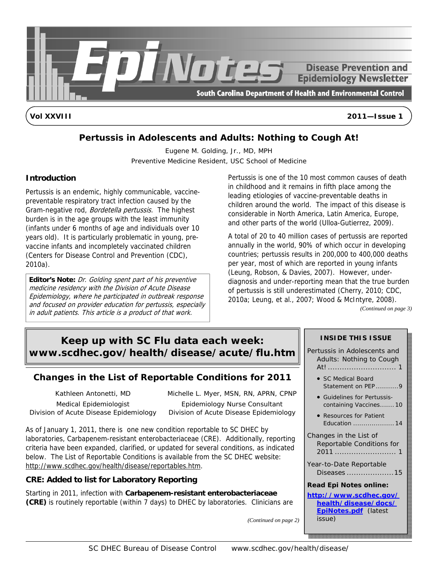

**Vol XXVIII 2011—Issue 1** 

# **Pertussis in Adolescents and Adults: Nothing to Cough At!**

Eugene M. Golding, Jr., MD, MPH Preventive Medicine Resident, USC School of Medicine

### **Introduction**

Pertussis is an endemic, highly communicable, vaccinepreventable respiratory tract infection caused by the Gram-negative rod, Bordetella pertussis. The highest burden is in the age groups with the least immunity (infants under 6 months of age and individuals over 10 years old). It is particularly problematic in young, prevaccine infants and incompletely vaccinated children (Centers for Disease Control and Prevention (CDC), 2010a).

**Editor's Note:** Dr. Golding spent part of his preventive medicine residency with the Division of Acute Disease Epidemiology, where he participated in outbreak response and focused on provider education for pertussis, especially in adult patients. This article is a product of that work.

Pertussis is one of the 10 most common causes of death in childhood and it remains in fifth place among the leading etiologies of vaccine-preventable deaths in children around the world. The impact of this disease is considerable in North America, Latin America, Europe, and other parts of the world (Ulloa-Gutierrez, 2009).

A total of 20 to 40 million cases of pertussis are reported annually in the world, 90% of which occur in developing countries; pertussis results in 200,000 to 400,000 deaths per year, most of which are reported in young infants (Leung, Robson, & Davies, 2007). However, underdiagnosis and under-reporting mean that the true burden of pertussis is still underestimated (Cherry, 2010; CDC, 2010a; Leung, et al., 2007; Wood & McIntyre, 2008).

*(Continued on page 3)* 

# **Keep up with SC Flu data each week: [www.scdhec.gov/health/disease/acute/flu.htm](http://www.scdhec.gov/health/disease/acute/flu.htm)**

# **Changes in the List of Reportable Conditions for 2011**

Kathleen Antonetti, MD Medical Epidemiologist Division of Acute Disease Epidemiology

Michelle L. Myer, MSN, RN, APRN, CPNP Epidemiology Nurse Consultant Division of Acute Disease Epidemiology

As of January 1, 2011, there is one new condition reportable to SC DHEC by laboratories, Carbapenem-resistant enterobacteriaceae (CRE). Additionally, reporting criteria have been expanded, clarified, or updated for several conditions, as indicated below. The List of Reportable Conditions is available from the SC DHEC website: http://www.scdhec.gov/health/disease/reportables.htm.

### **CRE: Added to list for Laboratory Reporting**

Starting in 2011, infection with **Carbapenem-resistant enterobacteriaceae (CRE)** is routinely reportable (within 7 days) to DHEC by laboratories. Clinicians are

|  | <b>INSIDE THIS ISSUE</b>                                                                      |  |  |  |
|--|-----------------------------------------------------------------------------------------------|--|--|--|
|  | Pertussis in Adolescents and<br>Adults: Nothing to Cough                                      |  |  |  |
|  | SC Medical Board<br>Statement on PEP9                                                         |  |  |  |
|  | <b>Guidelines for Pertussis-</b><br>containing Vaccines10                                     |  |  |  |
|  | Resources for Patient<br>Education  14                                                        |  |  |  |
|  | Changes in the List of<br>Reportable Conditions for<br>Year-to-Date Reportable<br>Diseases 15 |  |  |  |
|  |                                                                                               |  |  |  |
|  | <b>Read Epi Notes online:</b>                                                                 |  |  |  |
|  | http://www.scdhec.gov/                                                                        |  |  |  |
|  | health/disease/docs/<br><b>EpiNotes.pdf</b> (latest<br><i>issue</i> )                         |  |  |  |
|  |                                                                                               |  |  |  |

*(Continued on page 2)*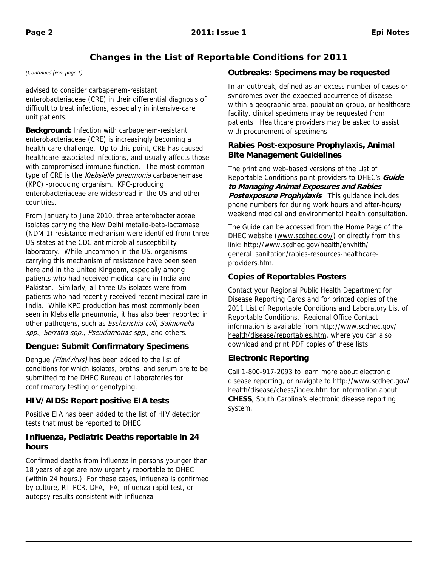# **Changes in the List of Reportable Conditions for 2011**

*(Continued from page 1)* 

advised to consider carbapenem-resistant enterobacteriaceae (CRE) in their differential diagnosis of difficult to treat infections, especially in intensive-care unit patients.

**Background:** Infection with carbapenem-resistant enterobacteriaceae (CRE) is increasingly becoming a health-care challenge. Up to this point, CRE has caused healthcare-associated infections, and usually affects those with compromised immune function. The most common type of CRE is the Klebsiella pneumonia carbapenemase (KPC) -producing organism. KPC-producing enterobacteriaceae are widespread in the US and other countries.

From January to June 2010, three enterobacteriaceae isolates carrying the New Delhi metallo-beta-lactamase (NDM-1) resistance mechanism were identified from three US states at the CDC antimicrobial susceptibility laboratory. While uncommon in the US, organisms carrying this mechanism of resistance have been seen here and in the United Kingdom, especially among patients who had received medical care in India and Pakistan. Similarly, all three US isolates were from patients who had recently received recent medical care in India. While KPC production has most commonly been seen in Klebsiella pneumonia, it has also been reported in other pathogens, such as Escherichia coli, Salmonella spp., Serratia spp., Pseudomonas spp., and others.

## **Dengue: Submit Confirmatory Specimens**

Dengue (Flavivirus) has been added to the list of conditions for which isolates, broths, and serum are to be submitted to the DHEC Bureau of Laboratories for confirmatory testing or genotyping.

## **HIV/AIDS: Report positive EIA tests**

Positive EIA has been added to the list of HIV detection tests that must be reported to DHEC.

## **Influenza, Pediatric Deaths reportable in 24 hours**

Confirmed deaths from influenza in persons younger than 18 years of age are now urgently reportable to DHEC (within 24 hours.) For these cases, influenza is confirmed by culture, RT-PCR, DFA, IFA, influenza rapid test, or autopsy results consistent with influenza

## **Outbreaks: Specimens may be requested**

In an outbreak, defined as an excess number of cases or syndromes over the expected occurrence of disease within a geographic area, population group, or healthcare facility, clinical specimens may be requested from patients. Healthcare providers may be asked to assist with procurement of specimens.

### **Rabies Post-exposure Prophylaxis, Animal Bite Management Guidelines**

The print and web-based versions of the List of Reportable Conditions point providers to DHEC's **Guide to Managing Animal Exposures and Rabies Postexposure Prophylaxis**. This quidance includes phone numbers for during work hours and after-hours/ weekend medical and environmental health consultation.

The Guide can be accessed from the Home Page of the DHEC website (www.scdhec.gov/) or directly from this link: http://www.scdhec.gov/health/envhlth/ [general sanitation/rabies-resources-healthcare](http://www.scdhec.gov/health/envhlth/general_sanitation/rabies-resources-healthcare-providers.htm)providers.htm.

## **Copies of Reportables Posters**

Contact your Regional Public Health Department for Disease Reporting Cards and for printed copies of the 2011 List of Reportable Conditions and Laboratory List of Reportable Conditions. Regional Office Contact [information is available from http://www.scdhec.gov/](http://www.scdhec.gov/health/disease/reportables.htm)  health/disease/reportables.htm, where you can also download and print PDF copies of these lists.

## **Electronic Reporting**

Call 1-800-917-2093 to learn more about electronic [disease reporting, or navigate to http://www.scdhec.gov/](http://www.scdhec.gov/health/disease/chess/index.htm)  health/disease/chess/index.htm for information about **CHESS**, South Carolina's electronic disease reporting system.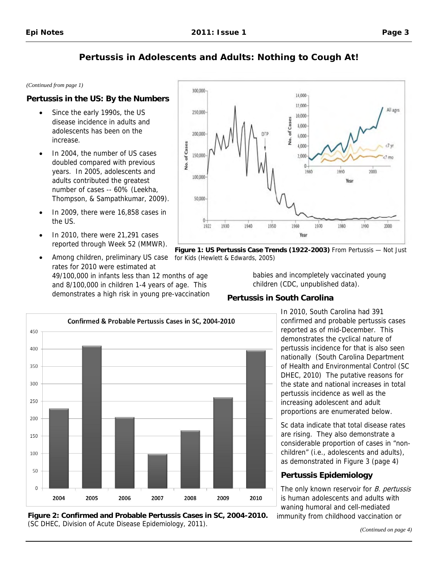#### *(Continued from page 1)*

### **Pertussis in the US: By the Numbers**

- Since the early 1990s, the US disease incidence in adults and adolescents has been on the increase.
- In 2004, the number of US cases doubled compared with previous years. In 2005, adolescents and adults contributed the greatest number of cases -- 60% (Leekha, Thompson, & Sampathkumar, 2009).
- In 2009, there were 16,858 cases in the US.
- In 2010, there were 21,291 cases reported through Week 52 (MMWR).
- Among children, preliminary US case rates for 2010 were estimated at 49/100,000 in infants less than 12 months of age and 8/100,000 in children 1-4 years of age. This demonstrates a high risk in young pre-vaccination



**Figure 1: US Pertussis Case Trends (1922-2003)** From Pertussis — Not Just for Kids (Hewlett & Edwards, 2005)

babies and incompletely vaccinated young children (CDC, unpublished data).

#### **Pertussis in South Carolina**

Confirmed & Probable Pertussis Cases in SC, 2004-2010 450 400  $350$ 300 250 200 150 100 50  $\Omega$ 2004 2005 2006 2007 2008 2009 2010

In 2010, South Carolina had 391 confirmed and probable pertussis cases reported as of mid-December. This demonstrates the cyclical nature of pertussis incidence for that is also seen nationally (South Carolina Department of Health and Environmental Control (SC DHEC, 2010) The putative reasons for the state and national increases in total pertussis incidence as well as the increasing adolescent and adult proportions are enumerated below.

Sc data indicate that total disease rates are rising. They also demonstrate a considerable proportion of cases in "nonchildren" (i.e., adolescents and adults), as demonstrated in Figure 3 (page 4)

### **Pertussis Epidemiology**

The only known reservoir for *B. pertussis* is human adolescents and adults with waning humoral and cell-mediated immunity from childhood vaccination or

**Figure 2: Confirmed and Probable Pertussis Cases in SC, 2004-2010.**  (SC DHEC, Division of Acute Disease Epidemiology, 2011).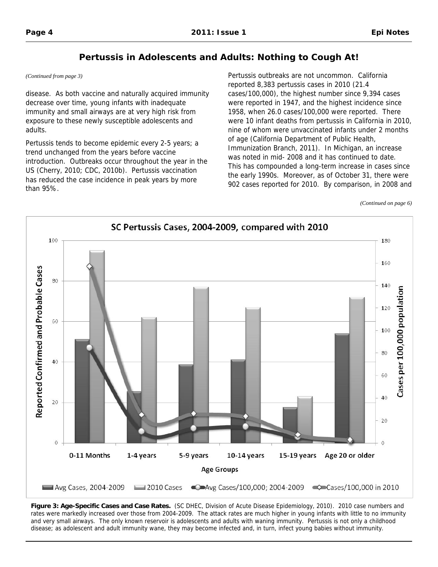*(Continued from page 3)* 

disease. As both vaccine and naturally acquired immunity decrease over time, young infants with inadequate immunity and small airways are at very high risk from exposure to these newly susceptible adolescents and adults.

Pertussis tends to become epidemic every 2-5 years; a trend unchanged from the years before vaccine introduction. Outbreaks occur throughout the year in the US (Cherry, 2010; CDC, 2010b). Pertussis vaccination has reduced the case incidence in peak years by more than 95%.

Pertussis outbreaks are not uncommon. California reported 8,383 pertussis cases in 2010 (21.4 cases/100,000), the highest number since 9,394 cases were reported in 1947, and the highest incidence since 1958, when 26.0 cases/100,000 were reported. There were 10 infant deaths from pertussis in California in 2010, nine of whom were unvaccinated infants under 2 months of age (California Department of Public Health, Immunization Branch, 2011). In Michigan, an increase was noted in mid- 2008 and it has continued to date. This has compounded a long-term increase in cases since the early 1990s. Moreover, as of October 31, there were 902 cases reported for 2010. By comparison, in 2008 and

*(Continued on page 6)* 



**Figure 3: Age-Specific Cases and Case Rates.** (SC DHEC, Division of Acute Disease Epidemiology, 2010). 2010 case numbers and rates were markedly increased over those from 2004-2009. The attack rates are much higher in young infants with little to no immunity and very small airways. The only known reservoir is adolescents and adults with waning immunity. Pertussis is not only a childhood disease; as adolescent and adult immunity wane, they may become infected and, in turn, infect young babies without immunity.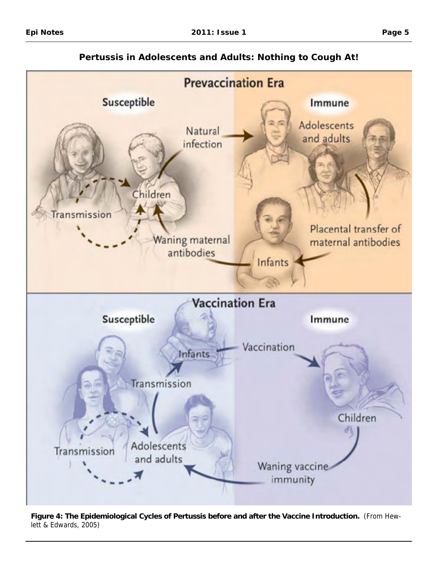

**Pertussis in Adolescents and Adults: Nothing to Cough At!** 

**Figure 4: The Epidemiological Cycles of Pertussis before and after the Vaccine Introduction.** (From Hewlett & Edwards, 2005)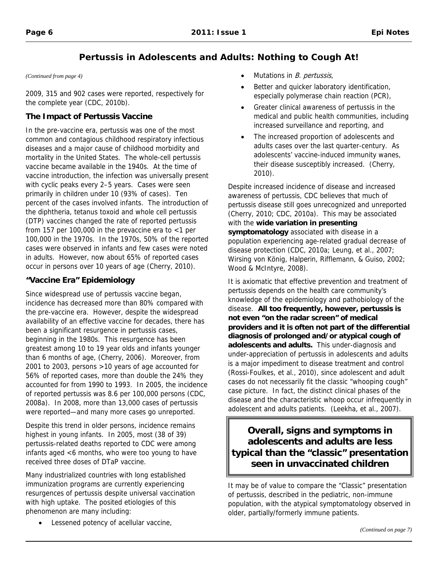2009, 315 and 902 cases were reported, respectively for the complete year (CDC, 2010b).

## **The Impact of Pertussis Vaccine**

In the pre-vaccine era, pertussis was one of the most common and contagious childhood respiratory infectious diseases and a major cause of childhood morbidity and mortality in the United States. The whole-cell pertussis vaccine became available in the 1940s. At the time of vaccine introduction, the infection was universally present with cyclic peaks every 2–5 years. Cases were seen primarily in children under 10 (93% of cases). Ten percent of the cases involved infants. The introduction of the diphtheria, tetanus toxoid and whole cell pertussis (DTP) vaccines changed the rate of reported pertussis from 157 per 100,000 in the prevaccine era to  $<$ 1 per 100,000 in the 1970s. In the 1970s, 50% of the reported cases were observed in infants and few cases were noted in adults. However, now about 65% of reported cases occur in persons over 10 years of age (Cherry, 2010).

## **"Vaccine Era" Epidemiology**

Since widespread use of pertussis vaccine began, incidence has decreased more than 80% compared with the pre-vaccine era. However, despite the widespread availability of an effective vaccine for decades, there has been a significant resurgence in pertussis cases, beginning in the 1980s. This resurgence has been greatest among 10 to 19 year olds and infants younger than 6 months of age, (Cherry, 2006). Moreover, from 2001 to 2003, persons >10 years of age accounted for 56% of reported cases, more than double the 24% they accounted for from 1990 to 1993. In 2005, the incidence of reported pertussis was 8.6 per 100,000 persons (CDC, 2008a). In 2008, more than 13,000 cases of pertussis were reported—and many more cases go unreported.

Despite this trend in older persons, incidence remains highest in young infants. In 2005, most (38 of 39) pertussis-related deaths reported to CDC were among infants aged <6 months, who were too young to have received three doses of DTaP vaccine.

Many industrialized countries with long established immunization programs are currently experiencing resurgences of pertussis despite universal vaccination with high uptake. The posited etiologies of this phenomenon are many including:

• Lessened potency of acellular vaccine,

- *(Continued from page 4)* Mutations in B. pertussis,
	- Better and quicker laboratory identification, especially polymerase chain reaction (PCR),
	- Greater clinical awareness of pertussis in the medical and public health communities, including increased surveillance and reporting, and
	- The increased proportion of adolescents and adults cases over the last quarter-century. As adolescents' vaccine-induced immunity wanes, their disease susceptibly increased. (Cherry, 2010).

Despite increased incidence of disease and increased awareness of pertussis, CDC believes that much of pertussis disease still goes unrecognized and unreported (Cherry, 2010; CDC, 2010a). This may be associated with the **wide variation in presenting symptomatology** associated with disease in a population experiencing age-related gradual decrease of disease protection (CDC, 2010a; Leung, et al., 2007; Wirsing von König, Halperin, Rifflemann, & Guiso, 2002; Wood & McIntyre, 2008).

It is axiomatic that effective prevention and treatment of pertussis depends on the health care community's knowledge of the epidemiology and pathobiology of the disease. **All too frequently, however, pertussis is not even "on the radar screen" of medical providers and it is often not part of the differential diagnosis of prolonged and/or atypical cough of adolescents and adults.** This under-diagnosis and under-appreciation of pertussis in adolescents and adults is a major impediment to disease treatment and control (Rossi-Foulkes, et al., 2010), since adolescent and adult cases do not necessarily fit the classic "whooping cough" case picture. In fact, the distinct clinical phases of the disease and the characteristic whoop occur infrequently in adolescent and adults patients. (Leekha, et al., 2007).

# **Overall, signs and symptoms in adolescents and adults are less typical than the "classic" presentation seen in unvaccinated children**

It may be of value to compare the "Classic" presentation of pertussis, described in the pediatric, non-immune population, with the atypical symptomatology observed in older, partially/formerly immune patients.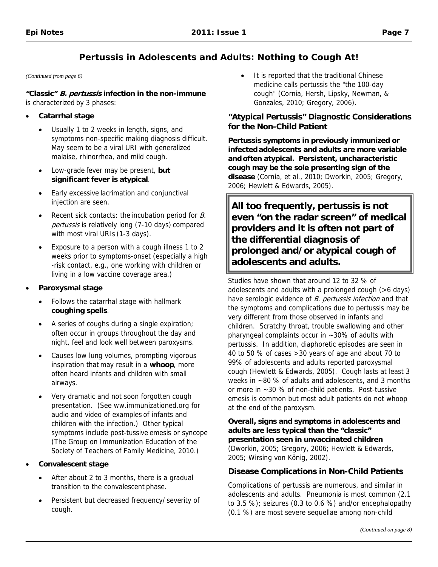#### *(Continued from page 6)*

**"Classic" B. pertussis infection in the non-immune**  is characterized by 3 phases:

#### • **Catarrhal stage**

- Usually 1 to 2 weeks in length, signs, and symptoms non-specific making diagnosis difficult. May seem to be a viral URI with generalized malaise, rhinorrhea, and mild cough.
- Low-grade fever may be present, **but significant fever is atypical**.
- Early excessive lacrimation and conjunctival injection are seen.
- Recent sick contacts: the incubation period for B. pertussis is relatively long (7-10 days) compared with most viral URIs (1-3 days).
- Exposure to a person with a cough illness 1 to 2 weeks prior to symptoms-onset (especially a high -risk contact, e.g., one working with children or living in a low vaccine coverage area.)
- **Paroxysmal stage** 
	- Follows the catarrhal stage with hallmark **coughing spells**.
	- A series of coughs during a single expiration; often occur in groups throughout the day and night, feel and look well between paroxysms.
	- Causes low lung volumes, prompting vigorous inspiration that may result in a **whoop**, more often heard infants and children with small airways.
	- Very dramatic and not soon forgotten cough presentation. (See [ww.immunizationed.org](http://www.immunizationed.org) for audio and video of examples of infants and children with the infection.) Other typical symptoms include post-tussive emesis or syncope (The Group on Immunization Education of the Society of Teachers of Family Medicine, 2010.)

#### • **Convalescent stage**

- After about 2 to 3 months, there is a gradual transition to the convalescent phase.
- Persistent but decreased frequency/ severity of cough.

It is reported that the traditional Chinese medicine calls pertussis the "the 100-day cough" (Cornia, Hersh, Lipsky, Newman, & Gonzales, 2010; Gregory, 2006).

### **"Atypical Pertussis" Diagnostic Considerations for the Non-Child Patient**

**Pertussis symptoms in previously immunized or infected adolescents and adults are more variable and often atypical. Persistent, uncharacteristic cough may be the sole presenting sign of the disease** (Cornia, et al., 2010; Dworkin, 2005; Gregory, 2006; Hewlett & Edwards, 2005).

**All too frequently, pertussis is not even "on the radar screen" of medical providers and it is often not part of the differential diagnosis of prolonged and/or atypical cough of adolescents and adults.** 

Studies have shown that around 12 to 32 % of adolescents and adults with a prolonged cough (>6 days) have serologic evidence of B. pertussis infection and that the symptoms and complications due to pertussis may be very different from those observed in infants and children. Scratchy throat, trouble swallowing and other pharyngeal complaints occur in ~30% of adults with pertussis. In addition, diaphoretic episodes are seen in 40 to 50 % of cases >30 years of age and about 70 to 99% of adolescents and adults reported paroxysmal cough (Hewlett & Edwards, 2005). Cough lasts at least 3 weeks in ~80 % of adults and adolescents, and 3 months or more in ~30 % of non-child patients. Post-tussive emesis is common but most adult patients do not whoop at the end of the paroxysm.

**Overall, signs and symptoms in adolescents and adults are less typical than the "classic" presentation seen in unvaccinated children**  (Dworkin, 2005; Gregory, 2006; Hewlett & Edwards, 2005; Wirsing von König, 2002).

### **Disease Complications in Non-Child Patients**

Complications of pertussis are numerous, and similar in adolescents and adults. Pneumonia is most common (2.1 to 3.5 %); seizures (0.3 to 0.6 %) and/or encephalopathy (0.1 %) are most severe sequellae among non-child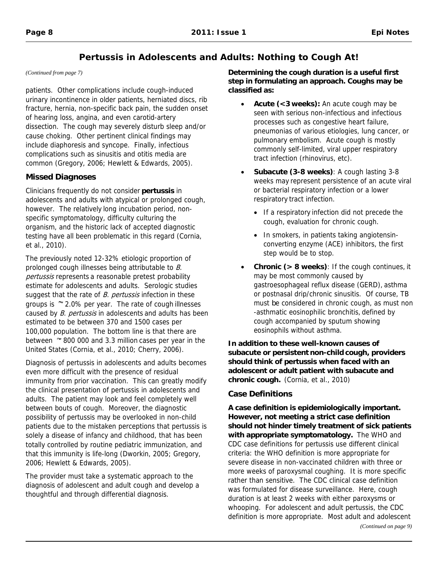*(Continued from page 7)* 

patients. Other complications include cough-induced urinary incontinence in older patients, herniated discs, rib fracture, hernia, non-specific back pain, the sudden onset of hearing loss, angina, and even carotid-artery dissection. The cough may severely disturb sleep and/or cause choking. Other pertinent clinical findings may include diaphoresis and syncope. Finally, infectious complications such as sinusitis and otitis media are common (Gregory, 2006; Hewlett & Edwards, 2005).

### **Missed Diagnoses**

Clinicians frequently do not consider **pertussis** in adolescents and adults with atypical or prolonged cough, however. The relatively long incubation period, nonspecific symptomatology, difficulty culturing the organism, and the historic lack of accepted diagnostic testing have all been problematic in this regard (Cornia, et al., 2010).

The previously noted 12-32% etiologic proportion of prolonged cough illnesses being attributable to B. pertussis represents a reasonable pretest probability estimate for adolescents and adults. Serologic studies suggest that the rate of B. pertussis infection in these groups is  $\sim$  2.0% per year. The rate of cough illnesses caused by *B. pertussis* in adolescents and adults has been estimated to be between 370 and 1500 cases per 100,000 population. The bottom line is that there are between  $\approx$  800 000 and 3.3 million cases per year in the United States (Cornia, et al., 2010; Cherry, 2006).

Diagnosis of pertussis in adolescents and adults becomes even more difficult with the presence of residual immunity from prior vaccination. This can greatly modify the clinical presentation of pertussis in adolescents and adults. The patient may look and feel completely well between bouts of cough. Moreover, the diagnostic possibility of pertussis may be overlooked in non-child patients due to the mistaken perceptions that pertussis is solely a disease of infancy and childhood, that has been totally controlled by routine pediatric immunization, and that this immunity is life-long (Dworkin, 2005; Gregory, 2006; Hewlett & Edwards, 2005).

The provider must take a systematic approach to the diagnosis of adolescent and adult cough and develop a thoughtful and through differential diagnosis.

**Determining the cough duration is a useful first step in formulating an approach. Coughs may be classified as:** 

- **Acute (<3 weeks):** An acute cough may be seen with serious non-infectious and infectious processes such as congestive heart failure, pneumonias of various etiologies, lung cancer, or pulmonary embolism. Acute cough is mostly commonly self-limited, viral upper respiratory tract infection (rhinovirus, etc).
- **Subacute (3-8 weeks)**: A cough lasting 3-8 weeks may represent persistence of an acute viral or bacterial respiratory infection or a lower respiratory tract infection.
	- If a respiratory infection did not precede the cough, evaluation for chronic cough.
	- In smokers, in patients taking angiotensinconverting enzyme (ACE) inhibitors, the first step would be to stop.
- **Chronic (> 8 weeks)**: If the cough continues, it may be most commonly caused by gastroesophageal reflux disease (GERD), asthma or postnasal drip/chronic sinusitis. Of course, TB must be considered in chronic cough, as must non -asthmatic eosinophilic bronchitis, defined by cough accompanied by sputum showing eosinophils without asthma.

**In addition to these well-known causes of subacute or persistent non-child cough, providers should think of pertussis when faced with an adolescent or adult patient with subacute and chronic cough.** (Cornia, et al., 2010)

## **Case Definitions**

**A case definition is epidemiologically important. However, not meeting a strict case definition should not hinder timely treatment of sick patients with appropriate symptomatology.** The WHO and CDC case definitions for pertussis use different clinical criteria: the WHO definition is more appropriate for severe disease in non-vaccinated children with three or more weeks of paroxysmal coughing. It is more specific rather than sensitive. The CDC clinical case definition was formulated for disease surveillance. Here, cough duration is at least 2 weeks with either paroxysms or whooping. For adolescent and adult pertussis, the CDC definition is more appropriate. Most adult and adolescent *(Continued on page 9)*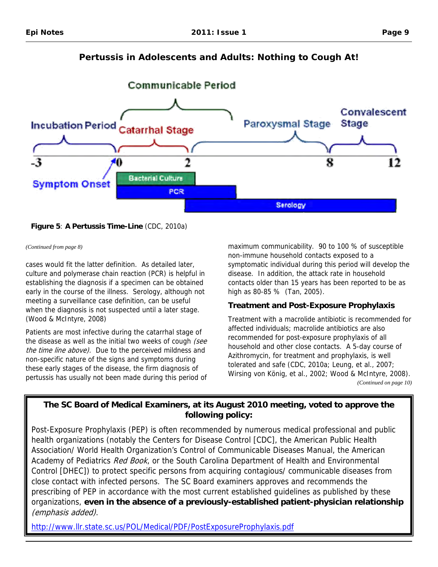<span id="page-8-0"></span>

**Figure 5**: **A Pertussis Time-Line** (CDC, 2010a)

*(Continued from page 8)* 

cases would fit the latter definition. As detailed later, culture and polymerase chain reaction (PCR) is helpful in establishing the diagnosis if a specimen can be obtained early in the course of the illness. Serology, although not meeting a surveillance case definition, can be useful when the diagnosis is not suspected until a later stage. (Wood & McIntyre, 2008)

Patients are most infective during the catarrhal stage of the disease as well as the initial two weeks of cough (see the time line above). Due to the perceived mildness and non-specific nature of the signs and symptoms during these early stages of the disease, the firm diagnosis of pertussis has usually not been made during this period of maximum communicability. 90 to 100 % of susceptible non-immune household contacts exposed to a symptomatic individual during this period will develop the disease. In addition, the attack rate in household contacts older than 15 years has been reported to be as high as 80-85 % (Tan, 2005).

## **Treatment and Post-Exposure Prophylaxis**

Treatment with a macrolide antibiotic is recommended for affected individuals; macrolide antibiotics are also recommended for post-exposure prophylaxis of all household and other close contacts. A 5-day course of Azithromycin, for treatment and prophylaxis, is well tolerated and safe (CDC, 2010a; Leung, et al., 2007; Wirsing von König, et al., 2002; Wood & McIntyre, 2008). *(Continued on page 10)* 

# **The SC Board of Medical Examiners, at its August 2010 meeting, voted to approve the following policy:**

Post-Exposure Prophylaxis (PEP) is often recommended by numerous medical professional and public health organizations (notably the Centers for Disease Control [CDC], the American Public Health Association/ World Health Organization's Control of Communicable Diseases Manual, the American Academy of Pediatrics Red Book, or the South Carolina Department of Health and Environmental Control [DHEC]) to protect specific persons from acquiring contagious/ communicable diseases from close contact with infected persons. The SC Board examiners approves and recommends the prescribing of PEP in accordance with the most current established guidelines as published by these organizations, **even in the absence of a previously-established patient-physician relationship**  (emphasis added).

http://www.llr.state.sc.us/POL/Medical/PDF/PostExposureProphylaxis.pdf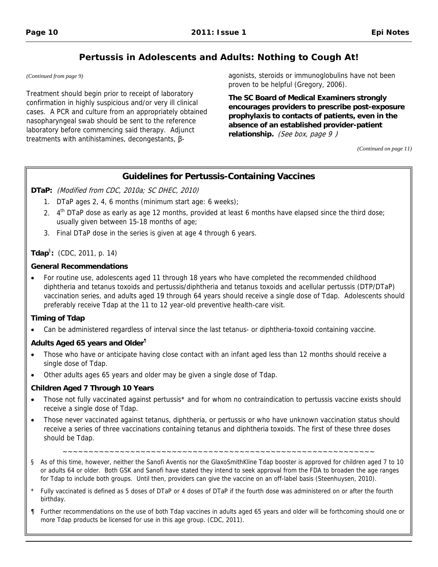Treatment should begin prior to receipt of laboratory<br>
confirmation in highly suspicious and/or very ill clinical<br>
cases. A PCR and culture from an appropriately obtained<br>
masopharyngeal swab should be sent to the referen

<span id="page-9-0"></span>*(Continued from page 9)* agonists, steroids or immunoglobulins have not been proven to be helpful (Gregory, 2006).

*(Continued on page 11)* 

### **Guidelines for Pertussis-Containing Vaccines**

**DTaP:** (Modified from CDC, 2010a; SC DHEC, 2010)

- 1. DTaP ages 2, 4, 6 months (minimum start age: 6 weeks);
- 2. 4<sup>th</sup> DTaP dose as early as age 12 months, provided at least 6 months have elapsed since the third dose; usually given between 15-18 months of age;
- 3. Final DTaP dose in the series is given at age 4 through 6 years.

#### **Tdap**§ **:** (CDC, 2011, p. 14)

#### **General Recommendations**

• For routine use, adolescents aged 11 through 18 years who have completed the recommended childhood diphtheria and tetanus toxoids and pertussis/diphtheria and tetanus toxoids and acellular pertussis (DTP/DTaP) vaccination series, and adults aged 19 through 64 years should receive a single dose of Tdap. Adolescents should preferably receive Tdap at the 11 to 12 year-old preventive health-care visit.

#### **Timing of Tdap**

• Can be administered regardless of interval since the last tetanus- or diphtheria-toxoid containing vaccine.

#### **Adults Aged 65 years and Older**¶

- Those who have or anticipate having close contact with an infant aged less than 12 months should receive a single dose of Tdap.
- Other adults ages 65 years and older may be given a single dose of Tdap.

#### **Children Aged 7 Through 10 Years**

- Those not fully vaccinated against pertussis<sup>\*</sup> and for whom no contraindication to pertussis vaccine exists should receive a single dose of Tdap.
- Those never vaccinated against tetanus, diphtheria, or pertussis or who have unknown vaccination status should receive a series of three vaccinations containing tetanus and diphtheria toxoids. The first of these three doses should be Tdap.

~~~~~~~~~~~~~~~~~~~~~~~~~~~~~~~~~~~~~~~~~~~~~~~~~~~~~~~~~~~~

- § As of this time, however, neither the Sanofi Aventis nor the GlaxoSmithKline Tdap booster is approved for children aged 7 to 10 or adults 64 or older. Both GSK and Sanofi have stated they intend to seek approval from the FDA to broaden the age ranges for Tdap to include both groups. Until then, providers can give the vaccine on an off-label basis (Steenhuysen, 2010).
- Fully vaccinated is defined as 5 doses of DTaP or 4 doses of DTaP if the fourth dose was administered on or after the fourth birthday.
- ¶ Further recommendations on the use of both Tdap vaccines in adults aged 65 years and older will be forthcoming should one or more Tdap products be licensed for use in this age group. (CDC, 2011).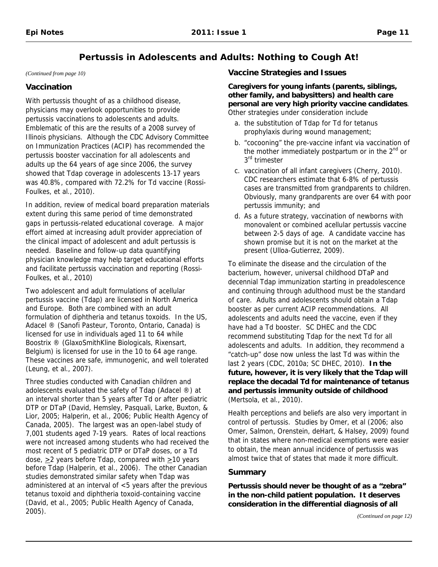*(Continued from page 10)* 

### **Vaccination**

With pertussis thought of as a childhood disease, physicians may overlook opportunities to provide pertussis vaccinations to adolescents and adults. Emblematic of this are the results of a 2008 survey of Illinois physicians. Although the CDC Advisory Committee on Immunization Practices (ACIP) has recommended the pertussis booster vaccination for all adolescents and adults up the 64 years of age since 2006, the survey showed that Tdap coverage in adolescents 13-17 years was 40.8%, compared with 72.2% for Td vaccine (Rossi-Foulkes, et al., 2010).

In addition, review of medical board preparation materials extent during this same period of time demonstrated gaps in pertussis-related educational coverage. A major effort aimed at increasing adult provider appreciation of the clinical impact of adolescent and adult pertussis is needed. Baseline and follow-up data quantifying physician knowledge may help target educational efforts and facilitate pertussis vaccination and reporting (Rossi-Foulkes, et al., 2010)

Two adolescent and adult formulations of acellular pertussis vaccine (Tdap) are licensed in North America and Europe. Both are combined with an adult formulation of diphtheria and tetanus toxoids. In the US, Adacel ® (Sanofi Pasteur, Toronto, Ontario, Canada) is licensed for use in individuals aged 11 to 64 while Boostrix ® (GlaxoSmithKline Biologicals, Rixensart, Belgium) is licensed for use in the 10 to 64 age range. These vaccines are safe, immunogenic, and well tolerated (Leung, et al., 2007).

Three studies conducted with Canadian children and adolescents evaluated the safety of Tdap (Adacel ®) at an interval shorter than 5 years after Td or after pediatric DTP or DTaP (David, Hemsley, Pasquali, Larke, Buxton, & Lior, 2005; Halperin, et al., 2006; Public Health Agency of Canada, 2005). The largest was an open-label study of 7,001 students aged 7-19 years. Rates of local reactions were not increased among students who had received the most recent of 5 pediatric DTP or DTaP doses, or a Td dose,  $\geq$  years before Tdap, compared with  $\geq$ 10 years before Tdap (Halperin, et al., 2006). The other Canadian studies demonstrated similar safety when Tdap was administered at an interval of <5 years after the previous tetanus toxoid and diphtheria toxoid-containing vaccine (David, et al., 2005; Public Health Agency of Canada, 2005).

### **Vaccine Strategies and Issues**

**Caregivers for young infants (parents, siblings, other family, and babysitters) and health care personal are very high priority vaccine candidates**. Other strategies under consideration include

- a. the substitution of Tdap for Td for tetanus prophylaxis during wound management;
- b. "cocooning" the pre-vaccine infant via vaccination of the mother immediately postpartum or in the  $2^{nd}$  or 3<sup>rd</sup> trimester
- c. vaccination of all infant caregivers (Cherry, 2010). CDC researchers estimate that 6-8% of pertussis cases are transmitted from grandparents to children. Obviously, many grandparents are over 64 with poor pertussis immunity; and
- d. As a future strategy, vaccination of newborns with monovalent or combined acellular pertussis vaccine between 2-5 days of age. A candidate vaccine has shown promise but it is not on the market at the present (Ulloa-Gutierrez, 2009).

To eliminate the disease and the circulation of the bacterium, however, universal childhood DTaP and decennial Tdap immunization starting in preadolescence and continuing through adulthood must be the standard of care. Adults and adolescents should obtain a Tdap booster as per current ACIP recommendations. All adolescents and adults need the vaccine, even if they have had a Td booster. SC DHEC and the CDC recommend substituting Tdap for the next Td for all adolescents and adults. In addition, they recommend a "catch-up" dose now unless the last Td was within the last 2 years (CDC, 2010a; SC DHEC, 2010). **In the future, however, it is very likely that the Tdap will replace the decadal Td for maintenance of tetanus and pertussis immunity outside of childhood**  (Mertsola, et al., 2010).

Health perceptions and beliefs are also very important in control of pertussis. Studies by Omer, et al (2006; also Omer, Salmon, Orenstein, deHart, & Halsey, 2009) found that in states where non-medical exemptions were easier to obtain, the mean annual incidence of pertussis was almost twice that of states that made it more difficult.

### **Summary**

**Pertussis should never be thought of as a "zebra" in the non-child patient population. It deserves consideration in the differential diagnosis of all**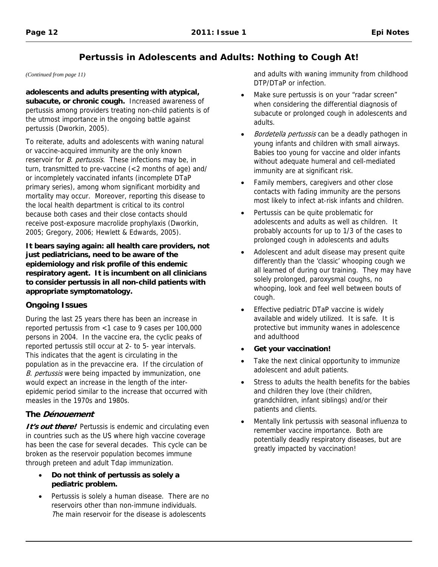*(Continued from page 11)* 

**adolescents and adults presenting with atypical, subacute, or chronic cough.** Increased awareness of pertussis among providers treating non-child patients is of the utmost importance in the ongoing battle against pertussis (Dworkin, 2005).

To reiterate, adults and adolescents with waning natural or vaccine-acquired immunity are the only known reservoir for *B. pertussis*. These infections may be, in turn, transmitted to pre-vaccine (<2 months of age) and/ or incompletely vaccinated infants (incomplete DTaP primary series), among whom significant morbidity and mortality may occur. Moreover, reporting this disease to the local health department is critical to its control because both cases and their close contacts should receive post-exposure macrolide prophylaxis (Dworkin, 2005; Gregory, 2006; Hewlett & Edwards, 2005).

**It bears saying again: all health care providers, not just pediatricians, need to be aware of the epidemiology and risk profile of this endemic respiratory agent. It is incumbent on all clinicians to consider pertussis in all non-child patients with appropriate symptomatology.** 

### **Ongoing Issues**

During the last 25 years there has been an increase in reported pertussis from <1 case to 9 cases per 100,000 persons in 2004. In the vaccine era, the cyclic peaks of reported pertussis still occur at 2- to 5- year intervals. This indicates that the agent is circulating in the population as in the prevaccine era. If the circulation of B. pertussis were being impacted by immunization, one would expect an increase in the length of the interepidemic period similar to the increase that occurred with measles in the 1970s and 1980s.

## **The Dénouement**

**It's out there!** Pertussis is endemic and circulating even in countries such as the US where high vaccine coverage has been the case for several decades. This cycle can be broken as the reservoir population becomes immune through preteen and adult Tdap immunization.

- **Do not think of pertussis as solely a pediatric problem.**
- Pertussis is solely a human disease. There are no reservoirs other than non-immune individuals. The main reservoir for the disease is adolescents

and adults with waning immunity from childhood DTP/DTaP or infection.

- Make sure pertussis is on your "radar screen" when considering the differential diagnosis of subacute or prolonged cough in adolescents and adults.
- Bordetella pertussis can be a deadly pathogen in young infants and children with small airways. Babies too young for vaccine and older infants without adequate humeral and cell-mediated immunity are at significant risk.
- Family members, caregivers and other close contacts with fading immunity are the persons most likely to infect at-risk infants and children.
- Pertussis can be quite problematic for adolescents and adults as well as children. It probably accounts for up to 1/3 of the cases to prolonged cough in adolescents and adults
- Adolescent and adult disease may present quite differently than the 'classic' whooping cough we all learned of during our training. They may have solely prolonged, paroxysmal coughs, no whooping, look and feel well between bouts of cough.
- Effective pediatric DTaP vaccine is widely available and widely utilized. It is safe. It is protective but immunity wanes in adolescence and adulthood
- **Get your vaccination!**
- Take the next clinical opportunity to immunize adolescent and adult patients.
- Stress to adults the health benefits for the babies and children they love (their children, grandchildren, infant siblings) and/or their patients and clients.
- Mentally link pertussis with seasonal influenza to remember vaccine importance. Both are potentially deadly respiratory diseases, but are greatly impacted by vaccination!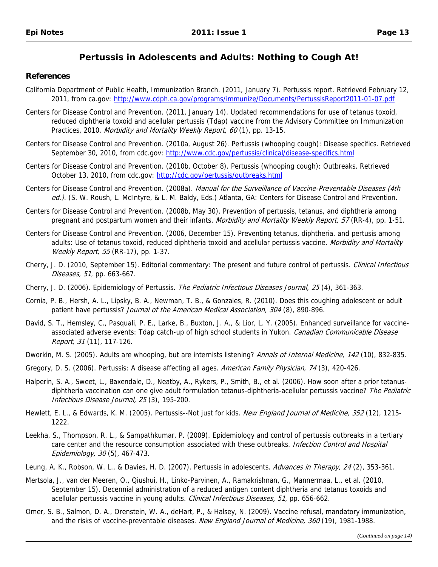#### **References**

- 2011, from ca.gov: http://www.cdph.ca.gov/programs/immunize/Documents/PertussisReport2011-01-07.pdf California Department of Public Health, Immunization Branch. (2011, January 7). Pertussis report. Retrieved February 12,
- Centers for Disease Control and Prevention. (2011, January 14). Updated recommendations for use of tetanus toxoid, reduced diphtheria toxoid and acellular pertussis (Tdap) vaccine from the Advisory Committee on Immunization Practices, 2010. Morbidity and Mortality Weekly Report, 60 (1), pp. 13-15.
- September 30, 2010, from cdc.gov: http://www.cdc.gov/pertussis/clinical/disease-specifics.html Centers for Disease Control and Prevention. (2010a, August 26). Pertussis (whooping cough): Disease specifics. Retrieved
- October 13, 2010, from cdc.gov: http://cdc.gov/pertussis/outbreaks.html Centers for Disease Control and Prevention. (2010b, October 8). Pertussis (whooping cough): Outbreaks. Retrieved
- Centers for Disease Control and Prevention. (2008a). Manual for the Surveillance of Vaccine-Preventable Diseases (4th ed.). (S. W. Roush, L. McIntyre, & L. M. Baldy, Eds.) Atlanta, GA: Centers for Disease Control and Prevention.
- Centers for Disease Control and Prevention. (2008b, May 30). Prevention of pertussis, tetanus, and diphtheria among pregnant and postpartum women and their infants. Morbidity and Mortality Weekly Report, 57 (RR-4), pp. 1-51.
- Centers for Disease Control and Prevention. (2006, December 15). Preventing tetanus, diphtheria, and pertusis among adults: Use of tetanus toxoid, reduced diphtheria toxoid and acellular pertussis vaccine. Morbidity and Mortality Weekly Report, 55 (RR-17), pp. 1-37.
- Cherry, J. D. (2010, September 15). Editorial commentary: The present and future control of pertussis. Clinical Infectious Diseases, 51, pp. 663-667.
- Cherry, J. D. (2006). Epidemiology of Pertussis. The Pediatric Infectious Diseases Journal, 25 (4), 361-363.
- Cornia, P. B., Hersh, A. L., Lipsky, B. A., Newman, T. B., & Gonzales, R. (2010). Does this coughing adolescent or adult patient have pertussis? Journal of the American Medical Association, 304 (8), 890-896.
- David, S. T., Hemsley, C., Pasquali, P. E., Larke, B., Buxton, J. A., & Lior, L. Y. (2005). Enhanced surveillance for vaccineassociated adverse events: Tdap catch-up of high school students in Yukon. Canadian Communicable Disease Report, 31 (11), 117-126.
- Dworkin, M. S. (2005). Adults are whooping, but are internists listening? Annals of Internal Medicine, 142 (10), 832-835.
- Gregory, D. S. (2006). Pertussis: A disease affecting all ages. American Family Physician, 74 (3), 420-426.
- Halperin, S. A., Sweet, L., Baxendale, D., Neatby, A., Rykers, P., Smith, B., et al. (2006). How soon after a prior tetanusdiphtheria vaccination can one give adult formulation tetanus-diphtheria-acellular pertussis vaccine? The Pediatric Infectious Disease Journal, 25 (3), 195-200.
- Hewlett, E. L., & Edwards, K. M. (2005). Pertussis--Not just for kids. New England Journal of Medicine, 352 (12), 1215-1222.
- Leekha, S., Thompson, R. L., & Sampathkumar, P. (2009). Epidemiology and control of pertussis outbreaks in a tertiary care center and the resource consumption associated with these outbreaks. Infection Control and Hospital Epidemiology, 30 (5), 467-473.
- Leung, A. K., Robson, W. L., & Davies, H. D. (2007). Pertussis in adolescents. Advances in Therapy, 24 (2), 353-361.
- Mertsola, J., van der Meeren, O., Qiushui, H., Linko-Parvinen, A., Ramakrishnan, G., Mannermaa, L., et al. (2010, September 15). Decennial administration of a reduced antigen content diphtheria and tetanus toxoids and acellular pertussis vaccine in young adults. Clinical Infectious Diseases, 51, pp. 656-662.
- Omer, S. B., Salmon, D. A., Orenstein, W. A., deHart, P., & Halsey, N. (2009). Vaccine refusal, mandatory immunization, and the risks of vaccine-preventable diseases. New England Journal of Medicine, 360 (19), 1981-1988.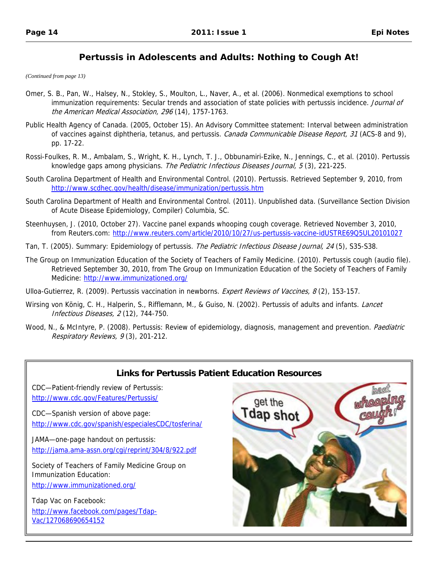<span id="page-13-0"></span>*(Continued from page 13)* 

- Omer, S. B., Pan, W., Halsey, N., Stokley, S., Moulton, L., Naver, A., et al. (2006). Nonmedical exemptions to school immunization requirements: Secular trends and association of state policies with pertussis incidence. Journal of the American Medical Association, 296 (14), 1757-1763.
- Public Health Agency of Canada. (2005, October 15). An Advisory Committee statement: Interval between administration of vaccines against diphtheria, tetanus, and pertussis. Canada Communicable Disease Report, 31 (ACS-8 and 9), pp. 17-22.
- Rossi-Foulkes, R. M., Ambalam, S., Wright, K. H., Lynch, T. J., Obbunamiri-Ezike, N., Jennings, C., et al. (2010). Pertussis knowledge gaps among physicians. The Pediatric Infectious Diseases Journal, 5(3), 221-225.
- http://www.scdhec.gov/health/disease/immunization/pertussis.htm South Carolina Department of Health and Environmental Control. (2010). Pertussis. Retrieved September 9, 2010, from
- South Carolina Department of Health and Environmental Control. (2011). Unpublished data. (Surveillance Section Division of Acute Disease Epidemiology, Compiler) Columbia, SC.
- from Reuters.com: http://www.reuters.com/article/2010/10/27/us-pertussis-vaccine-idUSTRE69Q5UL20101027 Steenhuysen, J. (2010, October 27). Vaccine panel expands whooping cough coverage. Retrieved November 3, 2010,
- Tan, T. (2005). Summary: Epidemiology of pertussis. The Pediatric Infectious Disease Journal, 24 (5), S35-S38.
- Medicine: http://www.immunizationed.org/ The Group on Immunization Education of the Society of Teachers of Family Medicine. (2010). Pertussis cough (audio file). Retrieved September 30, 2010, from The Group on Immunization Education of the Society of Teachers of Family
- Ulloa-Gutierrez, R. (2009). Pertussis vaccination in newborns. Expert Reviews of Vaccines, 8 (2), 153-157.
- Wirsing von König, C. H., Halperin, S., Rifflemann, M., & Guiso, N. (2002). Pertussis of adults and infants. Lancet Infectious Diseases, 2 (12), 744-750.
- Wood, N., & McIntyre, P. (2008). Pertussis: Review of epidemiology, diagnosis, management and prevention. Paediatric Respiratory Reviews, 9 (3), 201-212.



# **Links for Pertussis Patient Education Resources**

CDC—Patient-friendly review of Pertussis: http://www.cdc.gov/Features/Pertussis/

CDC—Spanish version of above page: http://www.cdc.gov/spanish/especialesCDC/tosferina/

JAMA—one-page handout on pertussis: http://jama.ama-assn.org/cgi/reprint/304/8/922.pdf

Society of Teachers of Family Medicine Group on Immunization Education: http://www.immunizationed.org/

Tdap Vac on Facebook: http://www.facebook.com/pages/Tdap-Vac/127068690654152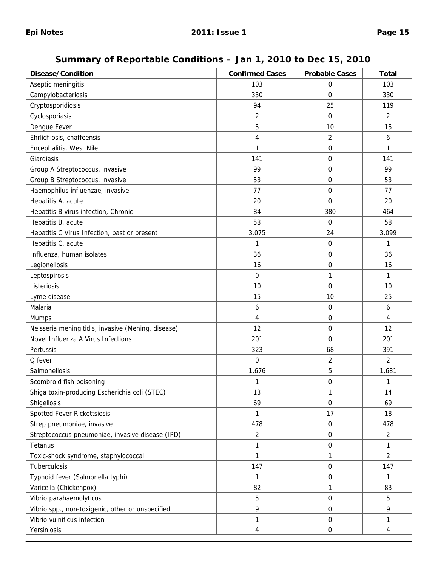# **Summary of Reportable Conditions – Jan 1, 2010 to Dec 15, 2010**

<span id="page-14-0"></span>

| <b>Disease/Condition</b>                           | <b>Confirmed Cases</b> | <b>Probable Cases</b> | <b>Total</b>   |
|----------------------------------------------------|------------------------|-----------------------|----------------|
| Aseptic meningitis                                 | 103                    | 0                     | 103            |
| Campylobacteriosis                                 | 330                    | $\mathbf 0$           | 330            |
| Cryptosporidiosis                                  | 94                     | 25                    | 119            |
| Cyclosporiasis                                     | $\overline{2}$         | $\mathbf 0$           | $\overline{2}$ |
| Dengue Fever                                       | 5                      | 10                    | 15             |
| Ehrlichiosis, chaffeensis                          | 4                      | $\overline{2}$        | 6              |
| Encephalitis, West Nile                            | 1                      | $\boldsymbol{0}$      | 1              |
| Giardiasis                                         | 141                    | $\mathbf 0$           | 141            |
| Group A Streptococcus, invasive                    | 99                     | 0                     | 99             |
| Group B Streptococcus, invasive                    | 53                     | 0                     | 53             |
| Haemophilus influenzae, invasive                   | 77                     | 0                     | 77             |
| Hepatitis A, acute                                 | 20                     | $\Omega$              | 20             |
| Hepatitis B virus infection, Chronic               | 84                     | 380                   | 464            |
| Hepatitis B, acute                                 | 58                     | $\mathbf 0$           | 58             |
| Hepatitis C Virus Infection, past or present       | 3,075                  | 24                    | 3,099          |
| Hepatitis C, acute                                 | 1                      | 0                     | 1              |
| Influenza, human isolates                          | 36                     | 0                     | 36             |
| Legionellosis                                      | 16                     | 0                     | 16             |
| Leptospirosis                                      | $\mathbf 0$            | 1                     | $\mathbf{1}$   |
| Listeriosis                                        | 10                     | $\mathbf 0$           | 10             |
| Lyme disease                                       | 15                     | 10                    | 25             |
| Malaria                                            | 6                      | 0                     | 6              |
| Mumps                                              | 4                      | $\mathbf 0$           | 4              |
| Neisseria meningitidis, invasive (Mening. disease) | 12                     | 0                     | 12             |
| Novel Influenza A Virus Infections                 | 201                    | $\mathbf 0$           | 201            |
| Pertussis                                          | 323                    | 68                    | 391            |
| Q fever                                            | $\Omega$               | $\overline{2}$        | $\overline{2}$ |
| Salmonellosis                                      | 1,676                  | 5                     | 1,681          |
| Scombroid fish poisoning                           | 1                      | $\boldsymbol{0}$      | 1              |
| Shiga toxin-producing Escherichia coli (STEC)      | 13                     | 1                     | 14             |
| Shigellosis                                        | 69                     | $\mathbf 0$           | 69             |
| Spotted Fever Rickettsiosis                        | $\mathbf{1}$           | 17                    | 18             |
| Strep pneumoniae, invasive                         | 478                    | 0                     | 478            |
| Streptococcus pneumoniae, invasive disease (IPD)   | $\overline{2}$         | 0                     | $\overline{c}$ |
| Tetanus                                            | 1                      | 0                     | 1              |
| Toxic-shock syndrome, staphylococcal               | 1                      | 1                     | $\overline{2}$ |
| Tuberculosis                                       | 147                    | $\boldsymbol{0}$      | 147            |
| Typhoid fever (Salmonella typhi)                   | $\mathbf{1}$           | 0                     | 1              |
| Varicella (Chickenpox)                             | 82                     | 1                     | 83             |
| Vibrio parahaemolyticus                            | 5                      | 0                     | 5              |
| Vibrio spp., non-toxigenic, other or unspecified   | 9                      | $\boldsymbol{0}$      | 9              |
| Vibrio vulnificus infection                        | 1                      | 0                     | 1              |
| Yersiniosis                                        | 4                      | $\boldsymbol{0}$      | 4              |